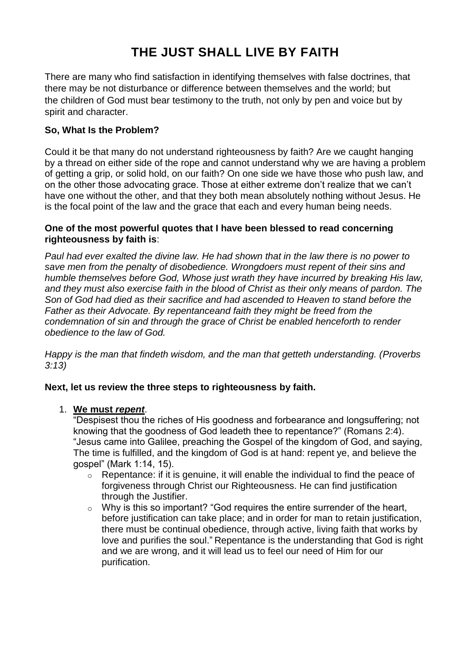# **THE JUST SHALL LIVE BY FAITH**

There are many who find satisfaction in identifying themselves with false doctrines, that there may be not disturbance or difference between themselves and the world; but the children of God must bear testimony to the truth, not only by pen and voice but by spirit and character.

## **So, What Is the Problem?**

Could it be that many do not understand righteousness by faith? Are we caught hanging by a thread on either side of the rope and cannot understand why we are having a problem of getting a grip, or solid hold, on our faith? On one side we have those who push law, and on the other those advocating grace. Those at either extreme don't realize that we can't have one without the other, and that they both mean absolutely nothing without Jesus. He is the focal point of the law and the grace that each and every human being needs.

## **One of the most powerful quotes that I have been blessed to read concerning righteousness by faith is**:

*Paul had ever exalted the divine law. He had shown that in the law there is no power to save men from the penalty of disobedience. Wrongdoers must repent of their sins and humble themselves before God, Whose just wrath they have incurred by breaking His law, and they must also exercise faith in the blood of Christ as their only means of pardon. The Son of God had died as their sacrifice and had ascended to Heaven to stand before the Father as their Advocate. By repentanceand faith they might be freed from the condemnation of sin and through the grace of Christ be enabled henceforth to render obedience to the law of God.*

*Happy is the man that findeth wisdom, and the man that getteth understanding. (Proverbs 3:13)*

## **Next, let us review the three steps to righteousness by faith.**

## 1. **We must** *repent*.

"Despisest thou the riches of His goodness and forbearance and longsuffering; not knowing that the goodness of God leadeth thee to repentance?" (Romans 2:4). "Jesus came into Galilee, preaching the Gospel of the kingdom of God, and saying, The time is fulfilled, and the kingdom of God is at hand: repent ye, and believe the gospel" (Mark 1:14, 15).

- $\circ$  Repentance: if it is genuine, it will enable the individual to find the peace of forgiveness through Christ our Righteousness. He can find justification through the Justifier.
- o Why is this so important? "God requires the entire surrender of the heart, before justification can take place; and in order for man to retain justification, there must be continual obedience, through active, living faith that works by love and purifies the soul." Repentance is the understanding that God is right and we are wrong, and it will lead us to feel our need of Him for our purification.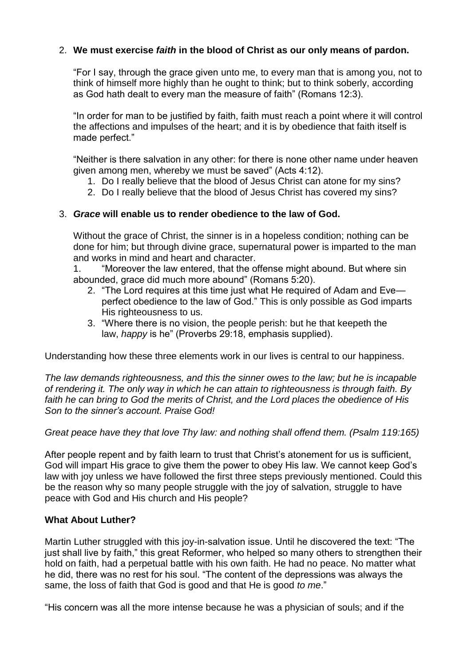## 2. **We must exercise** *faith* **in the blood of Christ as our only means of pardon.**

"For I say, through the grace given unto me, to every man that is among you, not to think of himself more highly than he ought to think; but to think soberly, according as God hath dealt to every man the measure of faith" (Romans 12:3).

"In order for man to be justified by faith, faith must reach a point where it will control the affections and impulses of the heart; and it is by obedience that faith itself is made perfect."

"Neither is there salvation in any other: for there is none other name under heaven given among men, whereby we must be saved" (Acts 4:12).

- 1. Do I really believe that the blood of Jesus Christ can atone for my sins?
- 2. Do I really believe that the blood of Jesus Christ has covered my sins?

## 3. *Grace* **will enable us to render obedience to the law of God.**

Without the grace of Christ, the sinner is in a hopeless condition; nothing can be done for him; but through divine grace, supernatural power is imparted to the man and works in mind and heart and character.

1. "Moreover the law entered, that the offense might abound. But where sin abounded, grace did much more abound" (Romans 5:20).

- 2. "The Lord requires at this time just what He required of Adam and Eve perfect obedience to the law of God." This is only possible as God imparts His righteousness to us.
- 3. "Where there is no vision, the people perish: but he that keepeth the law, *happy* is he" (Proverbs 29:18, emphasis supplied).

Understanding how these three elements work in our lives is central to our happiness.

*The law demands righteousness, and this the sinner owes to the law; but he is incapable of rendering it. The only way in which he can attain to righteousness is through faith. By faith he can bring to God the merits of Christ, and the Lord places the obedience of His Son to the sinner's account. Praise God!*

*Great peace have they that love Thy law: and nothing shall offend them. (Psalm 119:165)*

After people repent and by faith learn to trust that Christ's atonement for us is sufficient, God will impart His grace to give them the power to obey His law. We cannot keep God's law with joy unless we have followed the first three steps previously mentioned. Could this be the reason why so many people struggle with the joy of salvation, struggle to have peace with God and His church and His people?

## **What About Luther?**

Martin Luther struggled with this joy-in-salvation issue. Until he discovered the text: "The just shall live by faith," this great Reformer, who helped so many others to strengthen their hold on faith, had a perpetual battle with his own faith. He had no peace. No matter what he did, there was no rest for his soul. "The content of the depressions was always the same, the loss of faith that God is good and that He is good *to me*."

"His concern was all the more intense because he was a physician of souls; and if the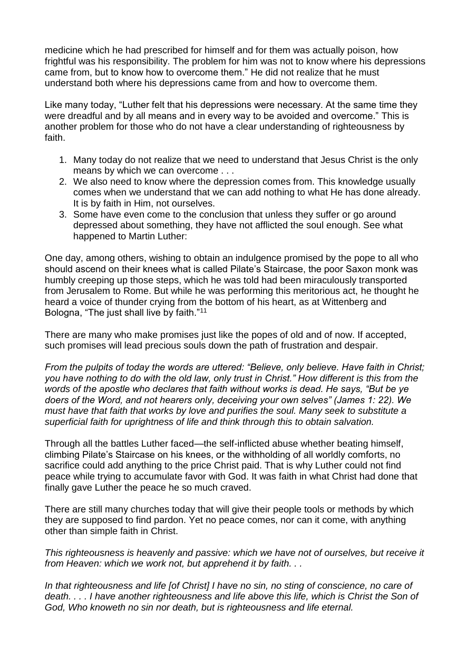medicine which he had prescribed for himself and for them was actually poison, how frightful was his responsibility. The problem for him was not to know where his depressions came from, but to know how to overcome them." He did not realize that he must understand both where his depressions came from and how to overcome them.

Like many today, "Luther felt that his depressions were necessary. At the same time they were dreadful and by all means and in every way to be avoided and overcome." This is another problem for those who do not have a clear understanding of righteousness by faith.

- 1. Many today do not realize that we need to understand that Jesus Christ is the only means by which we can overcome . . .
- 2. We also need to know where the depression comes from. This knowledge usually comes when we understand that we can add nothing to what He has done already. It is by faith in Him, not ourselves.
- 3. Some have even come to the conclusion that unless they suffer or go around depressed about something, they have not afflicted the soul enough. See what happened to Martin Luther:

One day, among others, wishing to obtain an indulgence promised by the pope to all who should ascend on their knees what is called Pilate's Staircase, the poor Saxon monk was humbly creeping up those steps, which he was told had been miraculously transported from Jerusalem to Rome. But while he was performing this meritorious act, he thought he heard a voice of thunder crying from the bottom of his heart, as at Wittenberg and Bologna, "The just shall live by faith."<sup>11</sup>

There are many who make promises just like the popes of old and of now. If accepted, such promises will lead precious souls down the path of frustration and despair.

*From the pulpits of today the words are uttered: "Believe, only believe. Have faith in Christ; you have nothing to do with the old law, only trust in Christ." How different is this from the words of the apostle who declares that faith without works is dead. He says, "But be ye doers of the Word, and not hearers only, deceiving your own selves" (James 1: 22). We must have that faith that works by love and purifies the soul. Many seek to substitute a superficial faith for uprightness of life and think through this to obtain salvation.*

Through all the battles Luther faced—the self-inflicted abuse whether beating himself, climbing Pilate's Staircase on his knees, or the withholding of all worldly comforts, no sacrifice could add anything to the price Christ paid. That is why Luther could not find peace while trying to accumulate favor with God. It was faith in what Christ had done that finally gave Luther the peace he so much craved.

There are still many churches today that will give their people tools or methods by which they are supposed to find pardon. Yet no peace comes, nor can it come, with anything other than simple faith in Christ.

*This righteousness is heavenly and passive: which we have not of ourselves, but receive it from Heaven: which we work not, but apprehend it by faith. . .* 

*In that righteousness and life [of Christ] I have no sin, no sting of conscience, no care of death. . . . I have another righteousness and life above this life, which is Christ the Son of God, Who knoweth no sin nor death, but is righteousness and life eternal.*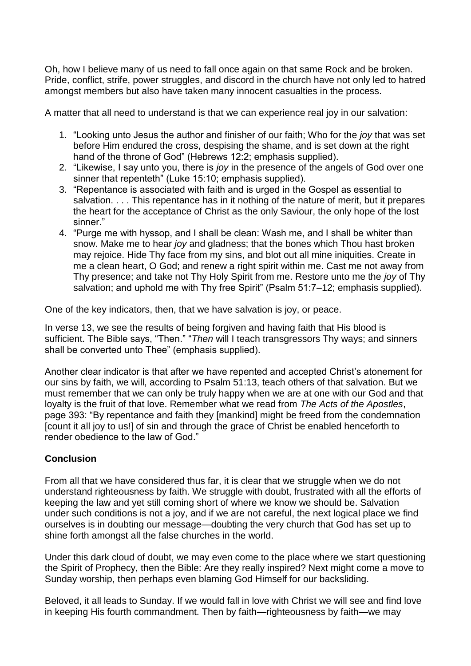Oh, how I believe many of us need to fall once again on that same Rock and be broken. Pride, conflict, strife, power struggles, and discord in the church have not only led to hatred amongst members but also have taken many innocent casualties in the process.

A matter that all need to understand is that we can experience real joy in our salvation:

- 1. "Looking unto Jesus the author and finisher of our faith; Who for the *joy* that was set before Him endured the cross, despising the shame, and is set down at the right hand of the throne of God" (Hebrews 12:2; emphasis supplied).
- 2. "Likewise, I say unto you, there is *joy* in the presence of the angels of God over one sinner that repenteth" (Luke 15:10; emphasis supplied).
- 3. "Repentance is associated with faith and is urged in the Gospel as essential to salvation. . . . This repentance has in it nothing of the nature of merit, but it prepares the heart for the acceptance of Christ as the only Saviour, the only hope of the lost sinner."
- 4. "Purge me with hyssop, and I shall be clean: Wash me, and I shall be whiter than snow. Make me to hear *joy* and gladness; that the bones which Thou hast broken may rejoice. Hide Thy face from my sins, and blot out all mine iniquities. Create in me a clean heart, O God; and renew a right spirit within me. Cast me not away from Thy presence; and take not Thy Holy Spirit from me. Restore unto me the *joy* of Thy salvation; and uphold me with Thy free Spirit" (Psalm 51:7–12; emphasis supplied).

One of the key indicators, then, that we have salvation is joy, or peace.

In verse 13, we see the results of being forgiven and having faith that His blood is sufficient. The Bible says, "Then." "*Then* will I teach transgressors Thy ways; and sinners shall be converted unto Thee" (emphasis supplied).

Another clear indicator is that after we have repented and accepted Christ's atonement for our sins by faith, we will, according to Psalm 51:13, teach others of that salvation. But we must remember that we can only be truly happy when we are at one with our God and that loyalty is the fruit of that love. Remember what we read from *The Acts of the Apostles*, page 393: "By repentance and faith they [mankind] might be freed from the condemnation [count it all joy to us!] of sin and through the grace of Christ be enabled henceforth to render obedience to the law of God."

## **Conclusion**

From all that we have considered thus far, it is clear that we struggle when we do not understand righteousness by faith. We struggle with doubt, frustrated with all the efforts of keeping the law and yet still coming short of where we know we should be. Salvation under such conditions is not a joy, and if we are not careful, the next logical place we find ourselves is in doubting our message—doubting the very church that God has set up to shine forth amongst all the false churches in the world.

Under this dark cloud of doubt, we may even come to the place where we start questioning the Spirit of Prophecy, then the Bible: Are they really inspired? Next might come a move to Sunday worship, then perhaps even blaming God Himself for our backsliding.

Beloved, it all leads to Sunday. If we would fall in love with Christ we will see and find love in keeping His fourth commandment. Then by faith—righteousness by faith—we may